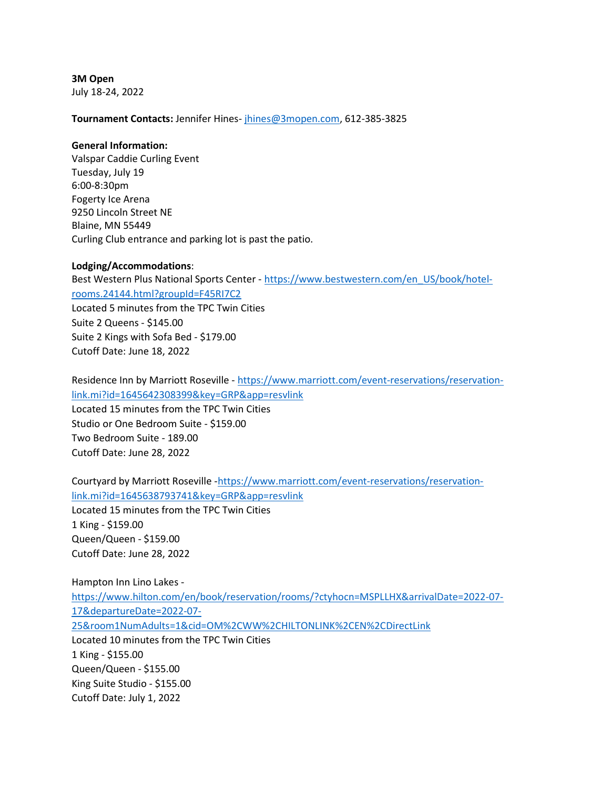3M Open July 18-24, 2022

Tournament Contacts: Jennifer Hines- jhines@3mopen.com, 612-385-3825

## General Information:

Valspar Caddie Curling Event Tuesday, July 19 6:00-8:30pm Fogerty Ice Arena 9250 Lincoln Street NE Blaine, MN 55449 Curling Club entrance and parking lot is past the patio.

## Lodging/Accommodations:

Best Western Plus National Sports Center - https://www.bestwestern.com/en\_US/book/hotelrooms.24144.html?groupId=F45RI7C2 Located 5 minutes from the TPC Twin Cities Suite 2 Queens - \$145.00 Suite 2 Kings with Sofa Bed - \$179.00 Cutoff Date: June 18, 2022

Residence Inn by Marriott Roseville - https://www.marriott.com/event-reservations/reservationlink.mi?id=1645642308399&key=GRP&app=resvlink Located 15 minutes from the TPC Twin Cities Studio or One Bedroom Suite - \$159.00 Two Bedroom Suite - 189.00 Cutoff Date: June 28, 2022

Courtyard by Marriott Roseville -https://www.marriott.com/event-reservations/reservationlink.mi?id=1645638793741&key=GRP&app=resvlink

Located 15 minutes from the TPC Twin Cities 1 King - \$159.00 Queen/Queen - \$159.00 Cutoff Date: June 28, 2022

Hampton Inn Lino Lakes https://www.hilton.com/en/book/reservation/rooms/?ctyhocn=MSPLLHX&arrivalDate=2022-07- 17&departureDate=2022-07- 25&room1NumAdults=1&cid=OM%2CWW%2CHILTONLINK%2CEN%2CDirectLink Located 10 minutes from the TPC Twin Cities 1 King - \$155.00 Queen/Queen - \$155.00 King Suite Studio - \$155.00 Cutoff Date: July 1, 2022